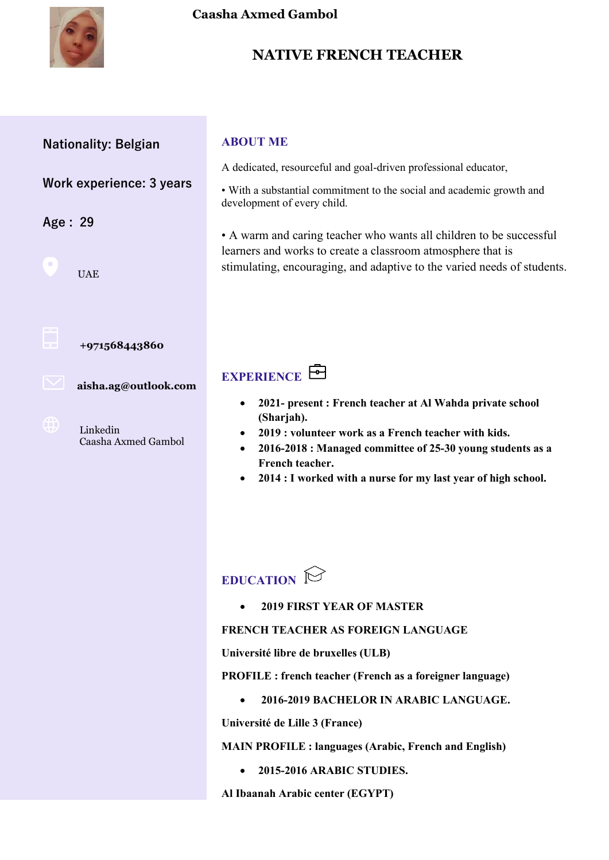

### **NATIVE FRENCH TEACHER**

### **Nationality: Belgian**

### **Work experience: 3 years**

**Age : 29**

UAE



#### **+971568443860**

 **aisha.ag@outlook.com**

Linkedin Caasha Axmed Gambol

#### **ABOUT ME**

A dedicated, resourceful and goal-driven professional educator,

• With a substantial commitment to the social and academic growth and development of every child.

• A warm and caring teacher who wants all children to be successful learners and works to create a classroom atmosphere that is stimulating, encouraging, and adaptive to the varied needs of students.

### **EXPERIENCE**

- **2021- present : French teacher at Al Wahda private school (Sharjah).**
- **2019 : volunteer work as a French teacher with kids.**
- **2016-2018 : Managed committee of 25-30 young students as a French teacher.**
- **2014 : I worked with a nurse for my last year of high school.**

## **EDUCATION**

• **2019 FIRST YEAR OF MASTER**

#### **FRENCH TEACHER AS FOREIGN LANGUAGE**

**Université libre de bruxelles (ULB)**

**PROFILE : french teacher (French as a foreigner language)**

• **2016-2019 BACHELOR IN ARABIC LANGUAGE.**

**Université de Lille 3 (France)**

**MAIN PROFILE : languages (Arabic, French and English)**

• **2015-2016 ARABIC STUDIES.**

**Al Ibaanah Arabic center (EGYPT)**